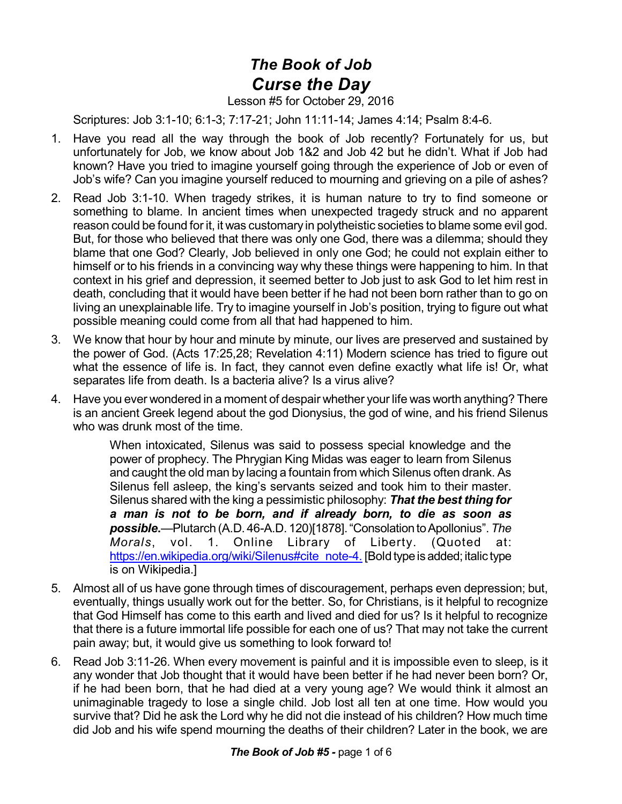## *The Book of Job Curse the Day*

## Lesson #5 for October 29, 2016

Scriptures: Job 3:1-10; 6:1-3; 7:17-21; John 11:11-14; James 4:14; Psalm 8:4-6.

- 1. Have you read all the way through the book of Job recently? Fortunately for us, but unfortunately for Job, we know about Job 1&2 and Job 42 but he didn't. What if Job had known? Have you tried to imagine yourself going through the experience of Job or even of Job's wife? Can you imagine yourself reduced to mourning and grieving on a pile of ashes?
- 2. Read Job 3:1-10. When tragedy strikes, it is human nature to try to find someone or something to blame. In ancient times when unexpected tragedy struck and no apparent reason could be found for it, it was customary in polytheistic societies to blame some evil god. But, for those who believed that there was only one God, there was a dilemma; should they blame that one God? Clearly, Job believed in only one God; he could not explain either to himself or to his friends in a convincing way why these things were happening to him. In that context in his grief and depression, it seemed better to Job just to ask God to let him rest in death, concluding that it would have been better if he had not been born rather than to go on living an unexplainable life. Try to imagine yourself in Job's position, trying to figure out what possible meaning could come from all that had happened to him.
- 3. We know that hour by hour and minute by minute, our lives are preserved and sustained by the power of God. (Acts 17:25,28; Revelation 4:11) Modern science has tried to figure out what the essence of life is. In fact, they cannot even define exactly what life is! Or, what separates life from death. Is a bacteria alive? Is a virus alive?
- 4. Have you ever wondered in a moment of despair whether your life was worth anything? There is an ancient Greek legend about the god Dionysius, the god of wine, and his friend Silenus who was drunk most of the time.

When intoxicated, Silenus was said to possess special knowledge and the power of prophecy. The Phrygian King Midas was eager to learn from Silenus and caught the old man by lacing a fountain from which Silenus often drank. As Silenus fell asleep, the king's servants seized and took him to their master. Silenus shared with the king a pessimistic philosophy: *That the best thing for a man is not to be born, and if already born, to die as soon as possible***.**—Plutarch (A.D. 46-A.D. 120)[1878]."ConsolationtoApollonius".*The Morals*, vol. 1. Online Library of Liberty. (Quoted at: [https://en.wikipedia.org/wiki/Silenus#cite\\_note-4.](https://en.wikipedia.org/wiki/Silenus#cite_note-4.) [Bold type is added; italic type is on Wikipedia.]

- 5. Almost all of us have gone through times of discouragement, perhaps even depression; but, eventually, things usually work out for the better. So, for Christians, is it helpful to recognize that God Himself has come to this earth and lived and died for us? Is it helpful to recognize that there is a future immortal life possible for each one of us? That may not take the current pain away; but, it would give us something to look forward to!
- 6. Read Job 3:11-26. When every movement is painful and it is impossible even to sleep, is it any wonder that Job thought that it would have been better if he had never been born? Or, if he had been born, that he had died at a very young age? We would think it almost an unimaginable tragedy to lose a single child. Job lost all ten at one time. How would you survive that? Did he ask the Lord why he did not die instead of his children? How much time did Job and his wife spend mourning the deaths of their children? Later in the book, we are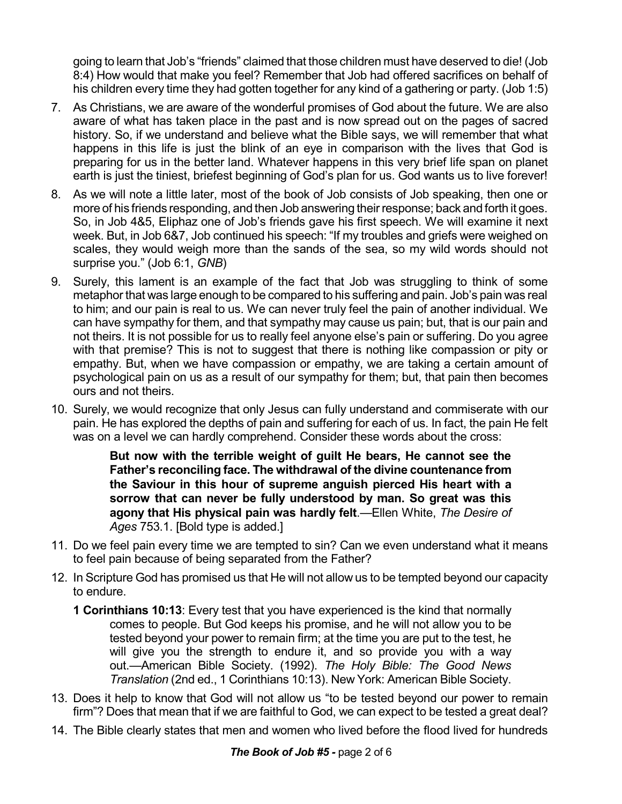going to learn that Job's "friends" claimed that those children must have deserved to die! (Job 8:4) How would that make you feel? Remember that Job had offered sacrifices on behalf of his children every time they had gotten together for any kind of a gathering or party. (Job 1:5)

- 7. As Christians, we are aware of the wonderful promises of God about the future. We are also aware of what has taken place in the past and is now spread out on the pages of sacred history. So, if we understand and believe what the Bible says, we will remember that what happens in this life is just the blink of an eye in comparison with the lives that God is preparing for us in the better land. Whatever happens in this very brief life span on planet earth is just the tiniest, briefest beginning of God's plan for us. God wants us to live forever!
- 8. As we will note a little later, most of the book of Job consists of Job speaking, then one or more of his friends responding, and then Job answering their response; back and forth it goes. So, in Job 4&5, Eliphaz one of Job's friends gave his first speech. We will examine it next week. But, in Job 6&7, Job continued his speech: "If my troubles and griefs were weighed on scales, they would weigh more than the sands of the sea, so my wild words should not surprise you." (Job 6:1, *GNB*)
- 9. Surely, this lament is an example of the fact that Job was struggling to think of some metaphor that was large enough to be compared to his suffering and pain. Job's pain was real to him; and our pain is real to us. We can never truly feel the pain of another individual. We can have sympathy for them, and that sympathy may cause us pain; but, that is our pain and not theirs. It is not possible for us to really feel anyone else's pain or suffering. Do you agree with that premise? This is not to suggest that there is nothing like compassion or pity or empathy. But, when we have compassion or empathy, we are taking a certain amount of psychological pain on us as a result of our sympathy for them; but, that pain then becomes ours and not theirs.
- 10. Surely, we would recognize that only Jesus can fully understand and commiserate with our pain. He has explored the depths of pain and suffering for each of us. In fact, the pain He felt was on a level we can hardly comprehend. Consider these words about the cross:

**But now with the terrible weight of guilt He bears, He cannot see the Father's reconciling face. The withdrawal of the divine countenance from the Saviour in this hour of supreme anguish pierced His heart with a sorrow that can never be fully understood by man. So great was this agony that His physical pain was hardly felt**.—Ellen White, *The Desire of Ages* 753.1. [Bold type is added.]

- 11. Do we feel pain every time we are tempted to sin? Can we even understand what it means to feel pain because of being separated from the Father?
- 12. In Scripture God has promised us that He will not allow us to be tempted beyond our capacity to endure.
	- **1 Corinthians 10:13**: Every test that you have experienced is the kind that normally comes to people. But God keeps his promise, and he will not allow you to be tested beyond your power to remain firm; at the time you are put to the test, he will give you the strength to endure it, and so provide you with a way out.—American Bible Society. (1992). *The Holy Bible: The Good News Translation* (2nd ed., 1 Corinthians 10:13). New York: American Bible Society.
- 13. Does it help to know that God will not allow us "to be tested beyond our power to remain firm"? Does that mean that if we are faithful to God, we can expect to be tested a great deal?
- 14. The Bible clearly states that men and women who lived before the flood lived for hundreds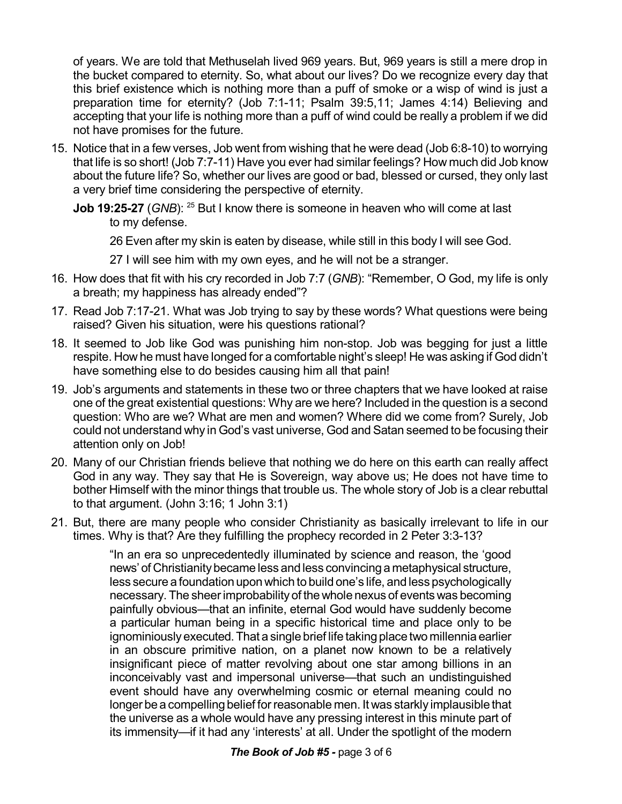of years. We are told that Methuselah lived 969 years. But, 969 years is still a mere drop in the bucket compared to eternity. So, what about our lives? Do we recognize every day that this brief existence which is nothing more than a puff of smoke or a wisp of wind is just a preparation time for eternity? (Job 7:1-11; Psalm 39:5,11; James 4:14) Believing and accepting that your life is nothing more than a puff of wind could be really a problem if we did not have promises for the future.

- 15. Notice that in a few verses, Job went from wishing that he were dead (Job 6:8-10) to worrying that life is so short! (Job 7:7-11) Have you ever had similar feelings? How much did Job know about the future life? So, whether our lives are good or bad, blessed or cursed, they only last a very brief time considering the perspective of eternity.
	- **Job 19:25-27** (GNB): <sup>25</sup> But I know there is someone in heaven who will come at last to my defense.

26 Even after my skin is eaten by disease, while still in this body I will see God.

27 I will see him with my own eyes, and he will not be a stranger.

- 16. How does that fit with his cry recorded in Job 7:7 (*GNB*): "Remember, O God, my life is only a breath; my happiness has already ended"?
- 17. Read Job 7:17-21. What was Job trying to say by these words? What questions were being raised? Given his situation, were his questions rational?
- 18. It seemed to Job like God was punishing him non-stop. Job was begging for just a little respite. How he must have longed for a comfortable night's sleep! He was asking if God didn't have something else to do besides causing him all that pain!
- 19. Job's arguments and statements in these two or three chapters that we have looked at raise one of the great existential questions: Why are we here? Included in the question is a second question: Who are we? What are men and women? Where did we come from? Surely, Job could not understand why in God's vast universe, God and Satan seemed to be focusing their attention only on Job!
- 20. Many of our Christian friends believe that nothing we do here on this earth can really affect God in any way. They say that He is Sovereign, way above us; He does not have time to bother Himself with the minor things that trouble us. The whole story of Job is a clear rebuttal to that argument. (John 3:16; 1 John 3:1)
- 21. But, there are many people who consider Christianity as basically irrelevant to life in our times. Why is that? Are they fulfilling the prophecy recorded in 2 Peter 3:3-13?

"In an era so unprecedentedly illuminated by science and reason, the 'good news' of Christianity became less and less convincing a metaphysical structure, less secure a foundation upon which to build one's life, and less psychologically necessary. The sheerimprobability of thewhole nexus of events was becoming painfully obvious—that an infinite, eternal God would have suddenly become a particular human being in a specific historical time and place only to be ignominiouslyexecuted.That a single brief life taking place two millennia earlier in an obscure primitive nation, on a planet now known to be a relatively insignificant piece of matter revolving about one star among billions in an inconceivably vast and impersonal universe—that such an undistinguished event should have any overwhelming cosmic or eternal meaning could no longer be a compelling belief for reasonable men. It was starkly implausible that the universe as a whole would have any pressing interest in this minute part of its immensity—if it had any 'interests' at all. Under the spotlight of the modern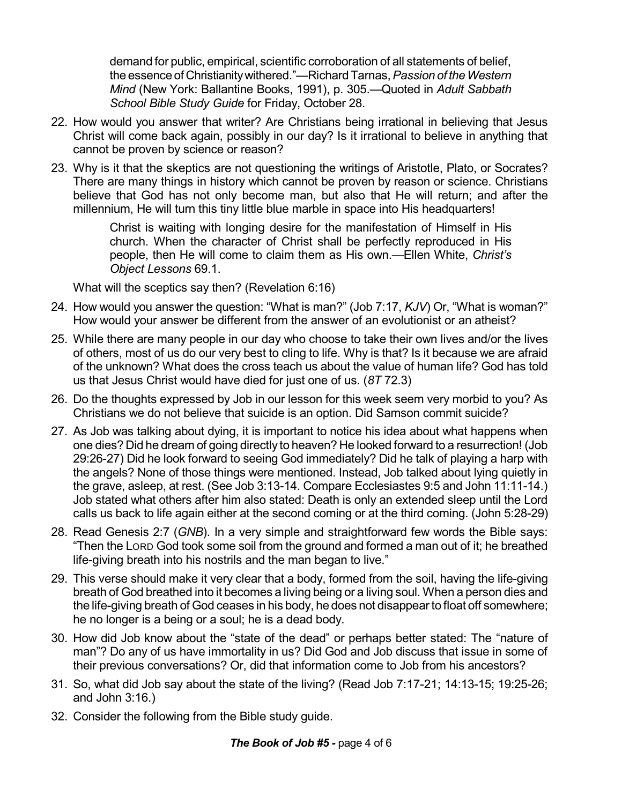demand for public, empirical, scientific corroboration of all statements of belief, the essenceof Christianitywithered."—RichardTarnas,*Passion of theWestern Mind* (New York: Ballantine Books, 1991), p. 305.—Quoted in *Adult Sabbath School Bible Study Guide* for Friday, October 28.

- 22. How would you answer that writer? Are Christians being irrational in believing that Jesus Christ will come back again, possibly in our day? Is it irrational to believe in anything that cannot be proven by science or reason?
- 23. Why is it that the skeptics are not questioning the writings of Aristotle, Plato, or Socrates? There are many things in history which cannot be proven by reason or science. Christians believe that God has not only become man, but also that He will return; and after the millennium, He will turn this tiny little blue marble in space into His headquarters!

Christ is waiting with longing desire for the manifestation of Himself in His church. When the character of Christ shall be perfectly reproduced in His people, then He will come to claim them as His own.—Ellen White, *Christ's Object Lessons* 69.1.

What will the sceptics say then? (Revelation 6:16)

- 24. How would you answer the question: "What is man?" (Job 7:17, *KJV*) Or, "What is woman?" How would your answer be different from the answer of an evolutionist or an atheist?
- 25. While there are many people in our day who choose to take their own lives and/or the lives of others, most of us do our very best to cling to life. Why is that? Is it because we are afraid of the unknown? What does the cross teach us about the value of human life? God has told us that Jesus Christ would have died for just one of us. (*8T* 72.3)
- 26. Do the thoughts expressed by Job in our lesson for this week seem very morbid to you? As Christians we do not believe that suicide is an option. Did Samson commit suicide?
- 27. As Job was talking about dying, it is important to notice his idea about what happens when one dies? Did he dream of going directly to heaven? He looked forward to a resurrection! (Job 29:26-27) Did he look forward to seeing God immediately? Did he talk of playing a harp with the angels? None of those things were mentioned. Instead, Job talked about lying quietly in the grave, asleep, at rest. (See Job 3:13-14. Compare Ecclesiastes 9:5 and John 11:11-14.) Job stated what others after him also stated: Death is only an extended sleep until the Lord calls us back to life again either at the second coming or at the third coming. (John 5:28-29)
- 28. Read Genesis 2:7 (*GNB*). In a very simple and straightforward few words the Bible says: "Then the LORD God took some soil from the ground and formed a man out of it; he breathed life-giving breath into his nostrils and the man began to live."
- 29. This verse should make it very clear that a body, formed from the soil, having the life-giving breath of God breathed into it becomes a living being or a living soul. When a person dies and the life-giving breath of God ceases in his body, he does not disappear to float off somewhere; he no longer is a being or a soul; he is a dead body.
- 30. How did Job know about the "state of the dead" or perhaps better stated: The "nature of man"? Do any of us have immortality in us? Did God and Job discuss that issue in some of their previous conversations? Or, did that information come to Job from his ancestors?
- 31. So, what did Job say about the state of the living? (Read Job 7:17-21; 14:13-15; 19:25-26; and John 3:16.)
- 32. Consider the following from the Bible study guide.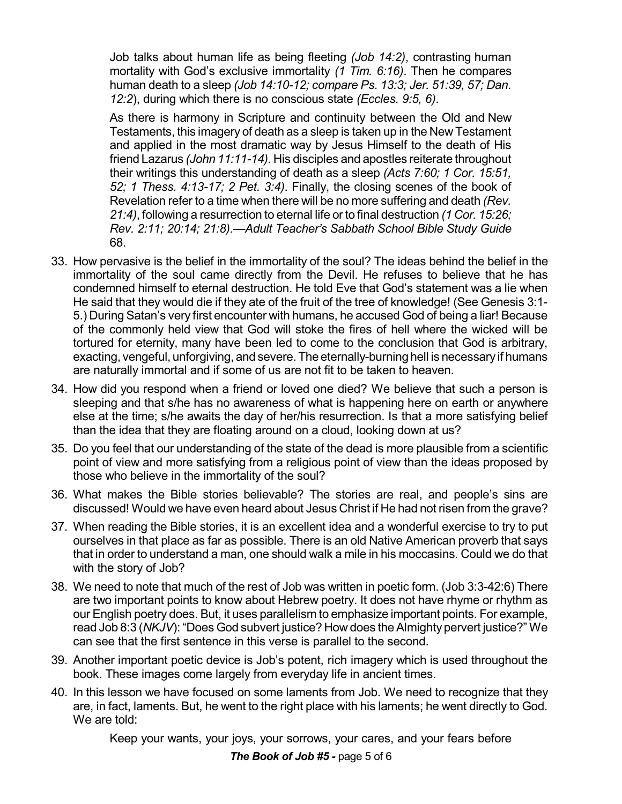Job talks about human life as being fleeting *(Job 14:2)*, contrasting human mortality with God's exclusive immortality *(1 Tim. 6:16)*. Then he compares human death to a sleep *(Job 14:10-12; compare Ps. 13:3; Jer. 51:39, 57; Dan. 12:2*), during which there is no conscious state *(Eccles. 9:5, 6)*.

As there is harmony in Scripture and continuity between the Old and New Testaments, this imagery of death as a sleep is taken up in the New Testament and applied in the most dramatic way by Jesus Himself to the death of His friend Lazarus *(John 11:11-14).* His disciples and apostles reiterate throughout their writings this understanding of death as a sleep *(Acts 7:60; 1 Cor. 15:51, 52; 1 Thess. 4:13-17; 2 Pet. 3:4)*. Finally, the closing scenes of the book of Revelation refer to a time when there will be no more suffering and death *(Rev. 21:4)*, following a resurrection to eternal life or to final destruction *(1 Cor. 15:26; Rev. 2:11; 20:14; 21:8).*—*Adult Teacher's Sabbath School Bible Study Guide* 68.

- 33. How pervasive is the belief in the immortality of the soul? The ideas behind the belief in the immortality of the soul came directly from the Devil. He refuses to believe that he has condemned himself to eternal destruction. He told Eve that God's statement was a lie when He said that they would die if they ate of the fruit of the tree of knowledge! (See Genesis 3:1- 5.) During Satan's very first encounter with humans, he accused God of being a liar! Because of the commonly held view that God will stoke the fires of hell where the wicked will be tortured for eternity, many have been led to come to the conclusion that God is arbitrary, exacting, vengeful, unforgiving, and severe. The eternally-burning hell is necessary if humans are naturally immortal and if some of us are not fit to be taken to heaven.
- 34. How did you respond when a friend or loved one died? We believe that such a person is sleeping and that s/he has no awareness of what is happening here on earth or anywhere else at the time; s/he awaits the day of her/his resurrection. Is that a more satisfying belief than the idea that they are floating around on a cloud, looking down at us?
- 35. Do you feel that our understanding of the state of the dead is more plausible from a scientific point of view and more satisfying from a religious point of view than the ideas proposed by those who believe in the immortality of the soul?
- 36. What makes the Bible stories believable? The stories are real, and people's sins are discussed! Would we have even heard about Jesus Christ if He had not risen from the grave?
- 37. When reading the Bible stories, it is an excellent idea and a wonderful exercise to try to put ourselves in that place as far as possible. There is an old Native American proverb that says that in order to understand a man, one should walk a mile in his moccasins. Could we do that with the story of Job?
- 38. We need to note that much of the rest of Job was written in poetic form. (Job 3:3-42:6) There are two important points to know about Hebrew poetry. It does not have rhyme or rhythm as our English poetry does. But, it uses parallelism to emphasize important points. For example, read Job 8:3 (*NKJV*): "Does God subvert justice? How does theAlmighty pervert justice?" We can see that the first sentence in this verse is parallel to the second.
- 39. Another important poetic device is Job's potent, rich imagery which is used throughout the book. These images come largely from everyday life in ancient times.
- 40. In this lesson we have focused on some laments from Job. We need to recognize that they are, in fact, laments. But, he went to the right place with his laments; he went directly to God. We are told:

Keep your wants, your joys, your sorrows, your cares, and your fears before